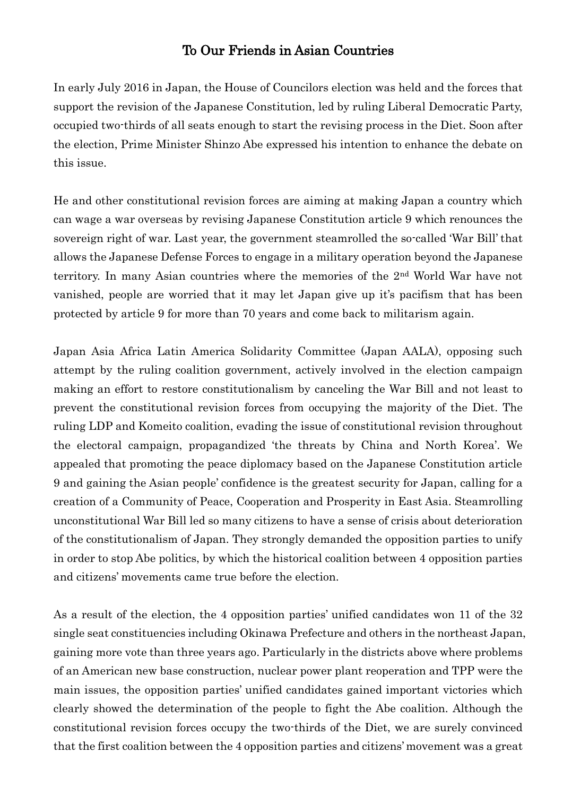## To Our Friends in Asian Countries

In early July 2016 in Japan, the House of Councilors election was held and the forces that support the revision of the Japanese Constitution, led by ruling Liberal Democratic Party, occupied two-thirds of all seats enough to start the revising process in the Diet. Soon after the election, Prime Minister Shinzo Abe expressed his intention to enhance the debate on this issue.

He and other constitutional revision forces are aiming at making Japan a country which can wage a war overseas by revising Japanese Constitution article 9 which renounces the sovereign right of war. Last year, the government steamrolled the so-called 'War Bill' that allows the Japanese Defense Forces to engage in a military operation beyond the Japanese territory. In many Asian countries where the memories of the 2nd World War have not vanished, people are worried that it may let Japan give up it's pacifism that has been protected by article 9 for more than 70 years and come back to militarism again.

Japan Asia Africa Latin America Solidarity Committee (Japan AALA), opposing such attempt by the ruling coalition government, actively involved in the election campaign making an effort to restore constitutionalism by canceling the War Bill and not least to prevent the constitutional revision forces from occupying the majority of the Diet. The ruling LDP and Komeito coalition, evading the issue of constitutional revision throughout the electoral campaign, propagandized 'the threats by China and North Korea'. We appealed that promoting the peace diplomacy based on the Japanese Constitution article 9 and gaining the Asian people' confidence is the greatest security for Japan, calling for a creation of a Community of Peace, Cooperation and Prosperity in East Asia. Steamrolling unconstitutional War Bill led so many citizens to have a sense of crisis about deterioration of the constitutionalism of Japan. They strongly demanded the opposition parties to unify in order to stop Abe politics, by which the historical coalition between 4 opposition parties and citizens' movements came true before the election.

As a result of the election, the 4 opposition parties' unified candidates won 11 of the 32 single seat constituencies including Okinawa Prefecture and others in the northeast Japan, gaining more vote than three years ago. Particularly in the districts above where problems of an American new base construction, nuclear power plant reoperation and TPP were the main issues, the opposition parties' unified candidates gained important victories which clearly showed the determination of the people to fight the Abe coalition. Although the constitutional revision forces occupy the two-thirds of the Diet, we are surely convinced that the first coalition between the 4 opposition parties and citizens' movement was a great